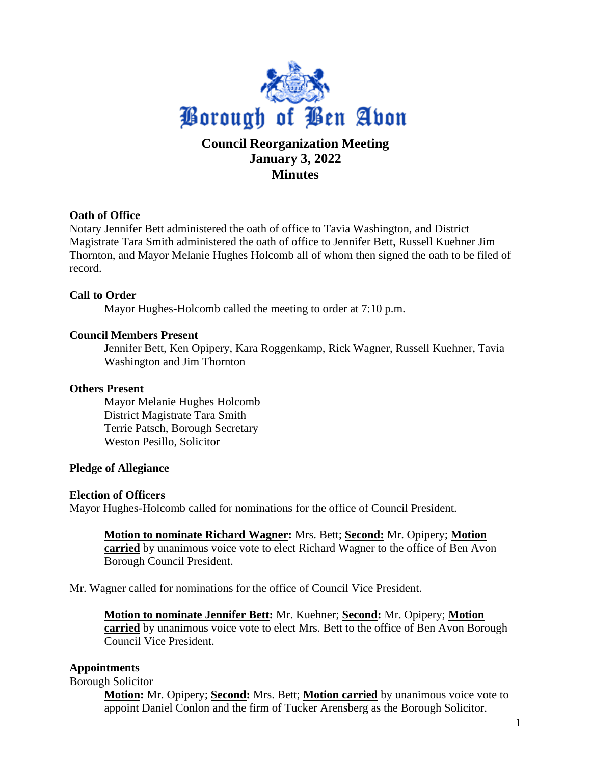

# **Minutes**

# **Oath of Office**

Notary Jennifer Bett administered the oath of office to Tavia Washington, and District Magistrate Tara Smith administered the oath of office to Jennifer Bett, Russell Kuehner Jim Thornton, and Mayor Melanie Hughes Holcomb all of whom then signed the oath to be filed of record.

# **Call to Order**

Mayor Hughes-Holcomb called the meeting to order at 7:10 p.m.

## **Council Members Present**

Jennifer Bett, Ken Opipery, Kara Roggenkamp, Rick Wagner, Russell Kuehner, Tavia Washington and Jim Thornton

## **Others Present**

Mayor Melanie Hughes Holcomb District Magistrate Tara Smith Terrie Patsch, Borough Secretary Weston Pesillo, Solicitor

## **Pledge of Allegiance**

#### **Election of Officers**

Mayor Hughes-Holcomb called for nominations for the office of Council President.

**Motion to nominate Richard Wagner:** Mrs. Bett; **Second:** Mr. Opipery; **Motion carried** by unanimous voice vote to elect Richard Wagner to the office of Ben Avon Borough Council President.

Mr. Wagner called for nominations for the office of Council Vice President.

**Motion to nominate Jennifer Bett:** Mr. Kuehner; **Second:** Mr. Opipery; **Motion carried** by unanimous voice vote to elect Mrs. Bett to the office of Ben Avon Borough Council Vice President.

## **Appointments**

Borough Solicitor

**Motion:** Mr. Opipery; **Second:** Mrs. Bett; **Motion carried** by unanimous voice vote to appoint Daniel Conlon and the firm of Tucker Arensberg as the Borough Solicitor.